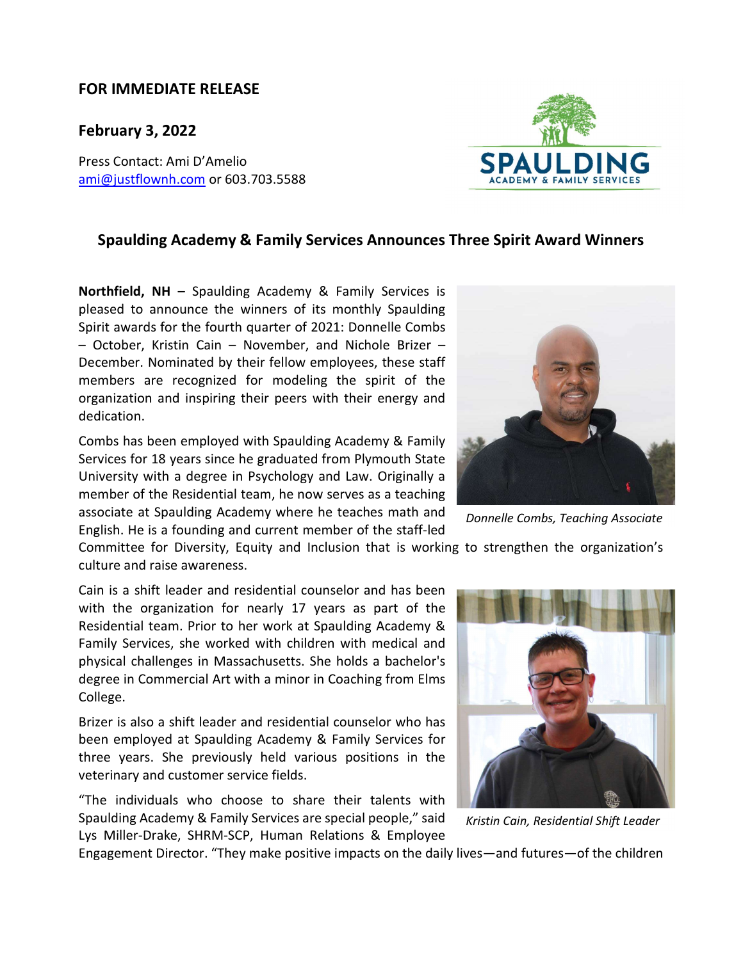## FOR IMMEDIATE RELEASE

February 3, 2022

Press Contact: Ami D'Amelio ami@justflownh.com</u> or 603.703.5588

## Spaulding Academy & Family Services Announces Three Spirit Award Winners

Northfield, NH – Spaulding Academy & Family Services is pleased to announce the winners of its monthly Spaulding Spirit awards for the fourth quarter of 2021: Donnelle Combs – October, Kristin Cain – November, and Nichole Brizer – December. Nominated by their fellow employees, these staff members are recognized for modeling the spirit of the organization and inspiring their peers with their energy and dedication.

Combs has been employed with Spaulding Academy & Family Services for 18 years since he graduated from Plymouth State University with a degree in Psychology and Law. Originally a member of the Residential team, he now serves as a teaching associate at Spaulding Academy where he teaches math and English. He is a founding and current member of the staff-led

Committee for Diversity, Equity and Inclusion that is working to strengthen the organization's culture and raise awareness.

Cain is a shift leader and residential counselor and has been with the organization for nearly 17 years as part of the Residential team. Prior to her work at Spaulding Academy & Family Services, she worked with children with medical and physical challenges in Massachusetts. She holds a bachelor's degree in Commercial Art with a minor in Coaching from Elms College.

Brizer is also a shift leader and residential counselor who has been employed at Spaulding Academy & Family Services for three years. She previously held various positions in the veterinary and customer service fields.

"The individuals who choose to share their talents with Spaulding Academy & Family Services are special people," said Lys Miller-Drake, SHRM-SCP, Human Relations & Employee

Engagement Director. "They make positive impacts on the daily lives—and futures—of the children





Donnelle Combs, Teaching Associate



Kristin Cain, Residential Shift Leader